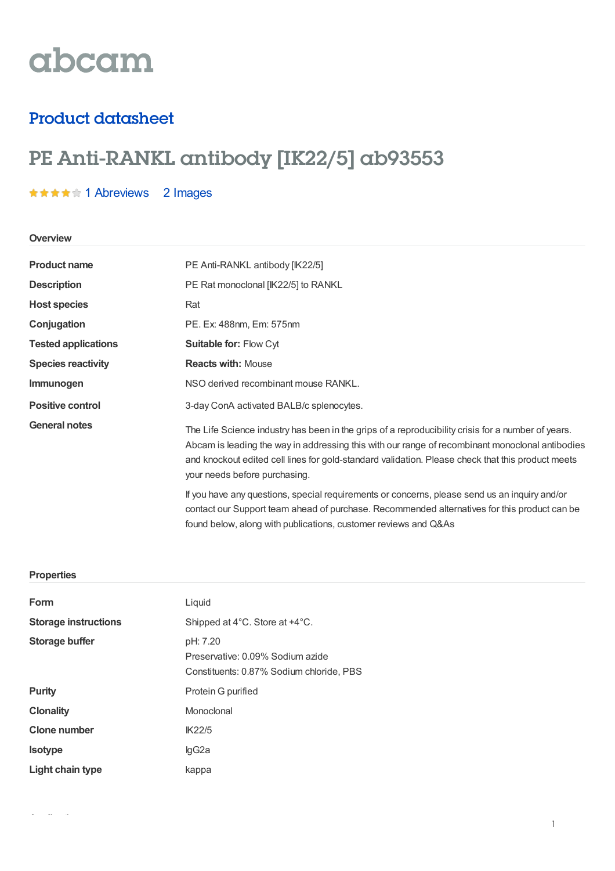# abcam

### Product datasheet

## PE Anti-RANKL antibody [IK22/5] ab93553

#### **★★★★★1 [Abreviews](https://www.abcam.com/pe-rankl-antibody-ik225-ab93553.html?productWallTab=Abreviews) 2 Images**

#### **Overview**

| <b>Product name</b>        | PE Anti-RANKL antibody [IK22/5]                                                                                                                                                                                                                                                                                                             |  |
|----------------------------|---------------------------------------------------------------------------------------------------------------------------------------------------------------------------------------------------------------------------------------------------------------------------------------------------------------------------------------------|--|
| <b>Description</b>         | PE Rat monoclonal [IK22/5] to RANKL                                                                                                                                                                                                                                                                                                         |  |
| <b>Host species</b>        | Rat                                                                                                                                                                                                                                                                                                                                         |  |
| Conjugation                | PE. Ex: 488nm, Em: 575nm                                                                                                                                                                                                                                                                                                                    |  |
| <b>Tested applications</b> | Suitable for: Flow Cyt                                                                                                                                                                                                                                                                                                                      |  |
| <b>Species reactivity</b>  | <b>Reacts with: Mouse</b>                                                                                                                                                                                                                                                                                                                   |  |
| Immunogen                  | NSO derived recombinant mouse RANKL.                                                                                                                                                                                                                                                                                                        |  |
| <b>Positive control</b>    | 3-day ConA activated BALB/c splenocytes.                                                                                                                                                                                                                                                                                                    |  |
| <b>General notes</b>       | The Life Science industry has been in the grips of a reproducibility crisis for a number of years.<br>Abcam is leading the way in addressing this with our range of recombinant monoclonal antibodies<br>and knockout edited cell lines for gold-standard validation. Please check that this product meets<br>your needs before purchasing. |  |
|                            | If you have any questions, special requirements or concerns, please send us an inquiry and/or<br>contact our Support team ahead of purchase. Recommended alternatives for this product can be<br>found below, along with publications, customer reviews and Q&As                                                                            |  |

#### **Properties**

| Form                        | Liquid                                                                                   |  |  |
|-----------------------------|------------------------------------------------------------------------------------------|--|--|
| <b>Storage instructions</b> | Shipped at 4°C. Store at +4°C.                                                           |  |  |
| <b>Storage buffer</b>       | pH: 7.20<br>Preservative: 0.09% Sodium azide<br>Constituents: 0.87% Sodium chloride, PBS |  |  |
| <b>Purity</b>               | Protein G purified                                                                       |  |  |
| <b>Clonality</b>            | Monoclonal                                                                               |  |  |
| <b>Clone number</b>         | <b>IK22/5</b>                                                                            |  |  |
| <b>Isotype</b>              | lgG2a                                                                                    |  |  |
| Light chain type            | kappa                                                                                    |  |  |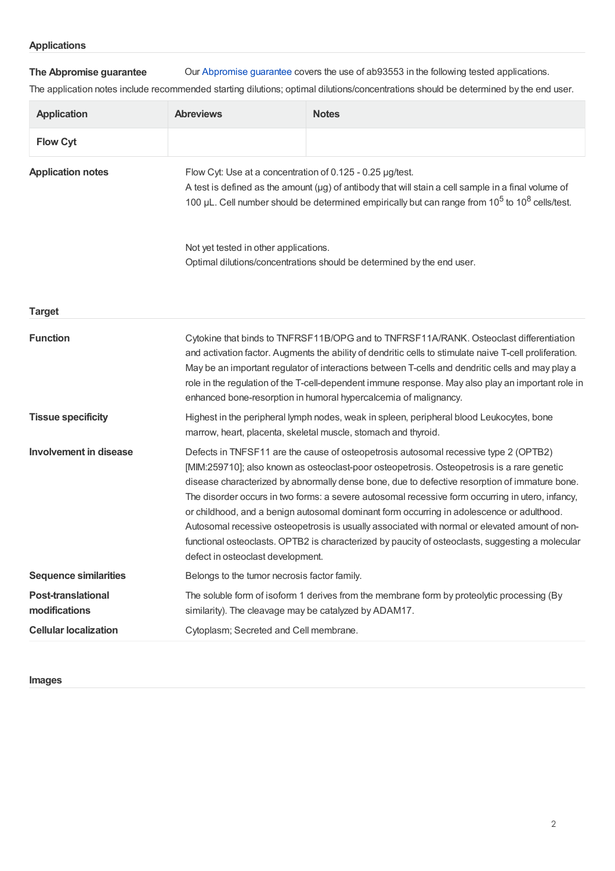**The Abpromise guarantee** Our [Abpromise](https://www.abcam.com/abpromise) guarantee covers the use of ab93553 in the following tested applications.

The application notes include recommended starting dilutions; optimal dilutions/concentrations should be determined by the end user.

| <b>Application</b>                         | <b>Abreviews</b>                                                                                                                                                                                                                                                                                                                                                                                                                                                                                                                                                                                                                                                                                                                | <b>Notes</b>                                                                               |  |
|--------------------------------------------|---------------------------------------------------------------------------------------------------------------------------------------------------------------------------------------------------------------------------------------------------------------------------------------------------------------------------------------------------------------------------------------------------------------------------------------------------------------------------------------------------------------------------------------------------------------------------------------------------------------------------------------------------------------------------------------------------------------------------------|--------------------------------------------------------------------------------------------|--|
| <b>Flow Cyt</b>                            |                                                                                                                                                                                                                                                                                                                                                                                                                                                                                                                                                                                                                                                                                                                                 |                                                                                            |  |
| <b>Application notes</b>                   | Flow Cyt: Use at a concentration of 0.125 - 0.25 µg/test.<br>A test is defined as the amount ( $\mu$ g) of antibody that will stain a cell sample in a final volume of<br>100 µL. Cell number should be determined empirically but can range from 10 <sup>5</sup> to 10 <sup>8</sup> cells/test.<br>Not yet tested in other applications.<br>Optimal dilutions/concentrations should be determined by the end user.                                                                                                                                                                                                                                                                                                             |                                                                                            |  |
|                                            |                                                                                                                                                                                                                                                                                                                                                                                                                                                                                                                                                                                                                                                                                                                                 |                                                                                            |  |
| <b>Target</b>                              |                                                                                                                                                                                                                                                                                                                                                                                                                                                                                                                                                                                                                                                                                                                                 |                                                                                            |  |
| <b>Function</b>                            | Cytokine that binds to TNFRSF11B/OPG and to TNFRSF11A/RANK. Osteoclast differentiation<br>and activation factor. Augments the ability of dendritic cells to stimulate naive T-cell proliferation.<br>May be an important regulator of interactions between T-cells and dendritic cells and may play a<br>role in the regulation of the T-cell-dependent immune response. May also play an important role in<br>enhanced bone-resorption in humoral hypercalcemia of malignancy.                                                                                                                                                                                                                                                 |                                                                                            |  |
| <b>Tissue specificity</b>                  | Highest in the peripheral lymph nodes, weak in spleen, peripheral blood Leukocytes, bone<br>marrow, heart, placenta, skeletal muscle, stomach and thyroid.                                                                                                                                                                                                                                                                                                                                                                                                                                                                                                                                                                      |                                                                                            |  |
| <b>Involvement in disease</b>              | Defects in TNFSF11 are the cause of osteopetrosis autosomal recessive type 2 (OPTB2)<br>[MIM:259710]; also known as osteoclast-poor osteopetrosis. Osteopetrosis is a rare genetic<br>disease characterized by abnormally dense bone, due to defective resorption of immature bone.<br>The disorder occurs in two forms: a severe autosomal recessive form occurring in utero, infancy,<br>or childhood, and a benign autosomal dominant form occurring in adolescence or adulthood.<br>Autosomal recessive osteopetrosis is usually associated with normal or elevated amount of non-<br>functional osteoclasts. OPTB2 is characterized by paucity of osteoclasts, suggesting a molecular<br>defect in osteoclast development. |                                                                                            |  |
| <b>Sequence similarities</b>               | Belongs to the tumor necrosis factor family.                                                                                                                                                                                                                                                                                                                                                                                                                                                                                                                                                                                                                                                                                    |                                                                                            |  |
| <b>Post-translational</b><br>modifications | similarity). The cleavage may be catalyzed by ADAM17.                                                                                                                                                                                                                                                                                                                                                                                                                                                                                                                                                                                                                                                                           | The soluble form of isoform 1 derives from the membrane form by proteolytic processing (By |  |
| <b>Cellular localization</b>               | Cytoplasm; Secreted and Cell membrane.                                                                                                                                                                                                                                                                                                                                                                                                                                                                                                                                                                                                                                                                                          |                                                                                            |  |

**Images**